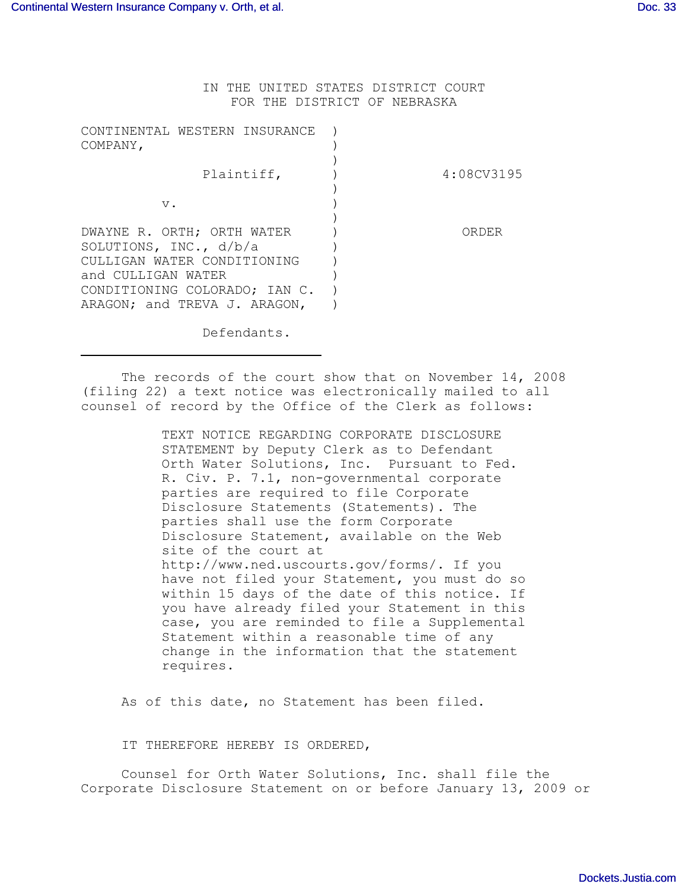IN THE UNITED STATES DISTRICT COURT FOR THE DISTRICT OF NEBRASKA

| CONTINENTAL WESTERN INSURANCE<br>COMPANY,                                                                                                                                     |            |
|-------------------------------------------------------------------------------------------------------------------------------------------------------------------------------|------------|
| Plaintiff,                                                                                                                                                                    | 4:08CV3195 |
| v.                                                                                                                                                                            |            |
| DWAYNE R. ORTH; ORTH WATER<br>SOLUTIONS, INC., $d/b/a$<br>CULLITGAN WATER CONDITIONING<br>and CULLIGAN WATER<br>CONDITIONING COLORADO; IAN C.<br>ARAGON; and TREVA J. ARAGON, | ORDER      |

Defendants.

The records of the court show that on November 14, 2008 (filing 22) a text notice was electronically mailed to all counsel of record by the Office of the Clerk as follows:

> TEXT NOTICE REGARDING CORPORATE DISCLOSURE STATEMENT by Deputy Clerk as to Defendant Orth Water Solutions, Inc. Pursuant to Fed. R. Civ. P. 7.1, non-governmental corporate parties are required to file Corporate Disclosure Statements (Statements). The parties shall use the form Corporate Disclosure Statement, available on the Web site of the court at http://www.ned.uscourts.gov/forms/. If you have not filed your Statement, you must do so within 15 days of the date of this notice. If you have already filed your Statement in this case, you are reminded to file a Supplemental Statement within a reasonable time of any change in the information that the statement requires.

As of this date, no Statement has been filed.

IT THEREFORE HEREBY IS ORDERED,

Counsel for Orth Water Solutions, Inc. shall file the Corporate Disclosure Statement on or before January 13, 2009 or